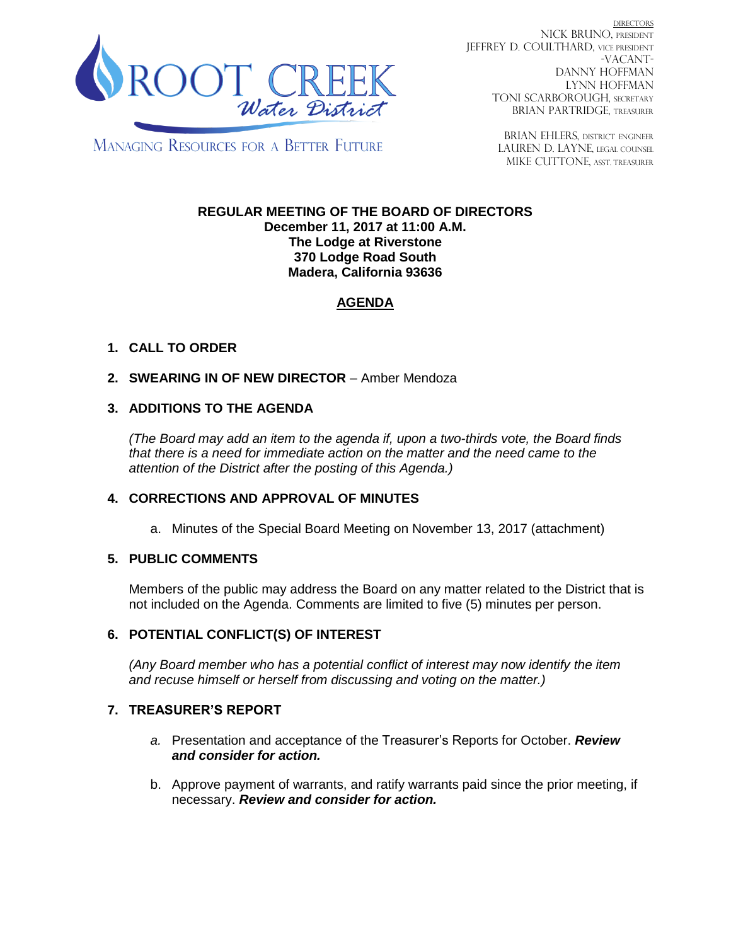

**DIRECTORS** NICK BRUNO, PRESIDENT JEFFREY D. COULTHARD, Vice President -VACANT-DANNY HOFFMAN LYNN HOFFMAN TONI SCARBOROUGH, SECRETARY BRIAN PARTRIDGE, TREASURER

**MANAGING RESOURCES FOR A BETTER FUTURE** 

BRIAN EHLERS, DISTRICT ENGINEER LAUREN D. LAYNE, LEGAL COUNSEL MIKE CUTTONE, Asst. treasurer

#### **REGULAR MEETING OF THE BOARD OF DIRECTORS December 11, 2017 at 11:00 A.M. The Lodge at Riverstone 370 Lodge Road South Madera, California 93636**

# **AGENDA**

## **1. CALL TO ORDER**

2. **SWEARING IN OF NEW DIRECTOR** – Amber Mendoza

## **3. ADDITIONS TO THE AGENDA**

*(The Board may add an item to the agenda if, upon a two-thirds vote, the Board finds that there is a need for immediate action on the matter and the need came to the attention of the District after the posting of this Agenda.)*

## **4. CORRECTIONS AND APPROVAL OF MINUTES**

a. Minutes of the Special Board Meeting on November 13, 2017 (attachment)

## **5. PUBLIC COMMENTS**

Members of the public may address the Board on any matter related to the District that is not included on the Agenda. Comments are limited to five (5) minutes per person.

## **6. POTENTIAL CONFLICT(S) OF INTEREST**

*(Any Board member who has a potential conflict of interest may now identify the item and recuse himself or herself from discussing and voting on the matter.)*

## **7. TREASURER'S REPORT**

- *a.* Presentation and acceptance of the Treasurer's Reports for October. *Review and consider for action.*
- b. Approve payment of warrants, and ratify warrants paid since the prior meeting, if necessary. *Review and consider for action.*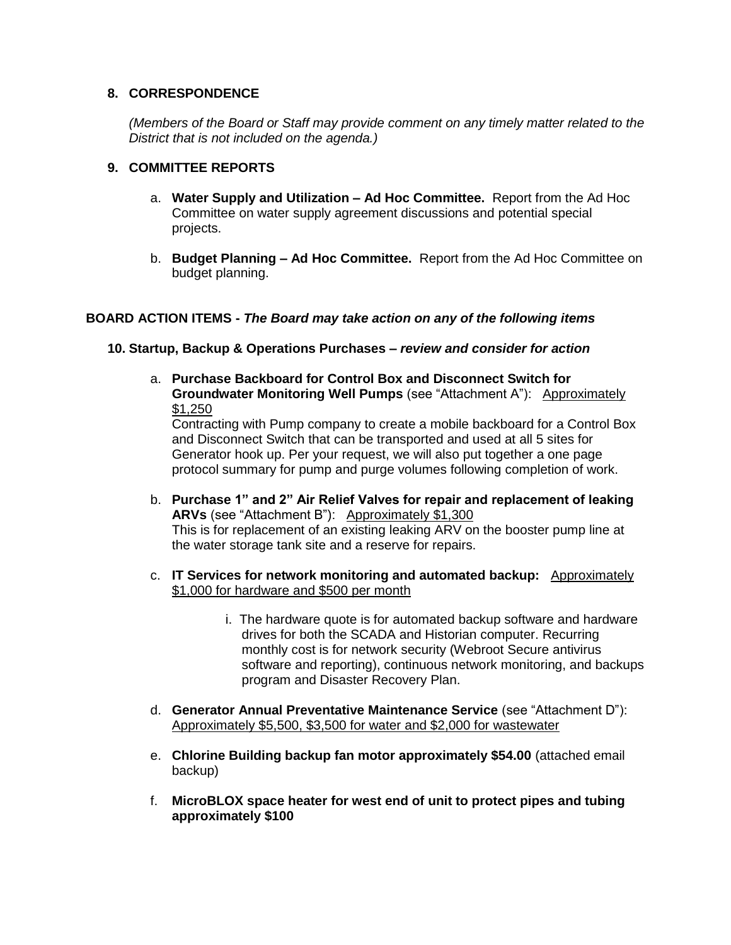#### **8. CORRESPONDENCE**

*(Members of the Board or Staff may provide comment on any timely matter related to the District that is not included on the agenda.)*

### **9. COMMITTEE REPORTS**

- a. **Water Supply and Utilization – Ad Hoc Committee.** Report from the Ad Hoc Committee on water supply agreement discussions and potential special projects.
- b. **Budget Planning – Ad Hoc Committee.** Report from the Ad Hoc Committee on budget planning.

#### **BOARD ACTION ITEMS -** *The Board may take action on any of the following items*

#### **10. Startup, Backup & Operations Purchases –** *review and consider for action*

a. **Purchase Backboard for Control Box and Disconnect Switch for Groundwater Monitoring Well Pumps** (see "Attachment A"): Approximately \$1,250

Contracting with Pump company to create a mobile backboard for a Control Box and Disconnect Switch that can be transported and used at all 5 sites for Generator hook up. Per your request, we will also put together a one page protocol summary for pump and purge volumes following completion of work.

- b. **Purchase 1" and 2" Air Relief Valves for repair and replacement of leaking ARVs** (see "Attachment B"): Approximately \$1,300 This is for replacement of an existing leaking ARV on the booster pump line at the water storage tank site and a reserve for repairs.
- c. **IT Services for network monitoring and automated backup:** Approximately \$1,000 for hardware and \$500 per month
	- i. The hardware quote is for automated backup software and hardware drives for both the SCADA and Historian computer. Recurring monthly cost is for network security (Webroot Secure antivirus software and reporting), continuous network monitoring, and backups program and Disaster Recovery Plan.
- d. **Generator Annual Preventative Maintenance Service** (see "Attachment D"): Approximately \$5,500, \$3,500 for water and \$2,000 for wastewater
- e. **Chlorine Building backup fan motor approximately \$54.00** (attached email backup)
- f. **MicroBLOX space heater for west end of unit to protect pipes and tubing approximately \$100**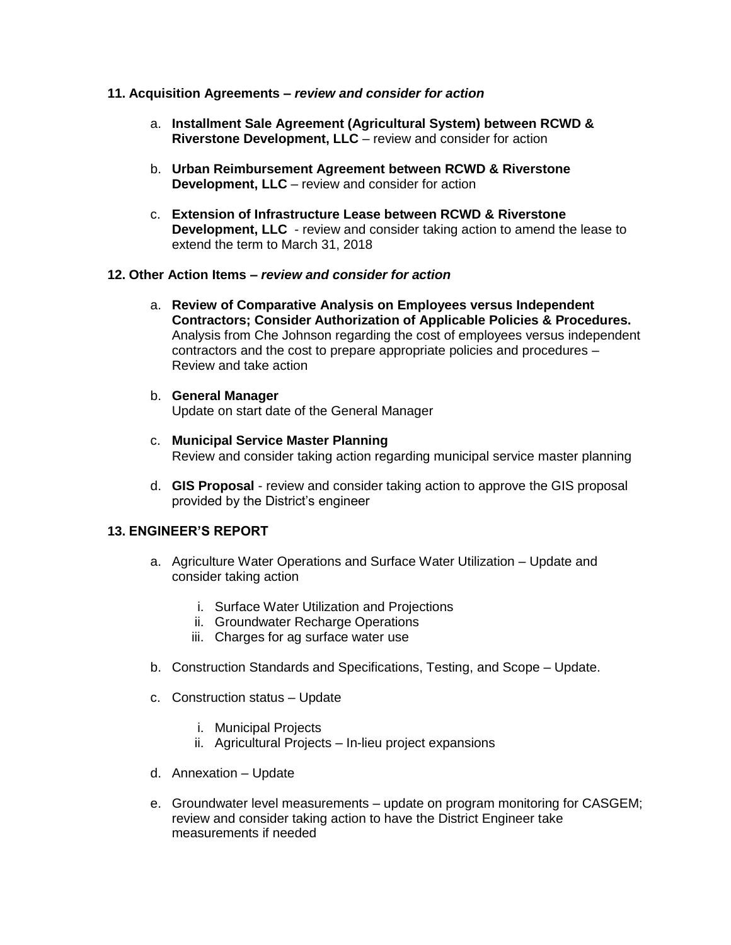#### **11. Acquisition Agreements –** *review and consider for action*

- a. **Installment Sale Agreement (Agricultural System) between RCWD & Riverstone Development, LLC** – review and consider for action
- b. **Urban Reimbursement Agreement between RCWD & Riverstone Development, LLC** – review and consider for action
- c. **Extension of Infrastructure Lease between RCWD & Riverstone Development, LLC** - review and consider taking action to amend the lease to extend the term to March 31, 2018

#### **12. Other Action Items –** *review and consider for action*

- a. **Review of Comparative Analysis on Employees versus Independent Contractors; Consider Authorization of Applicable Policies & Procedures.** Analysis from Che Johnson regarding the cost of employees versus independent contractors and the cost to prepare appropriate policies and procedures – Review and take action
- b. **General Manager**

Update on start date of the General Manager

- c. **Municipal Service Master Planning** Review and consider taking action regarding municipal service master planning
- d. **GIS Proposal** review and consider taking action to approve the GIS proposal provided by the District's engineer

## **13. ENGINEER'S REPORT**

- a. Agriculture Water Operations and Surface Water Utilization Update and consider taking action
	- i. Surface Water Utilization and Projections
	- ii. Groundwater Recharge Operations
	- iii. Charges for ag surface water use
- b. Construction Standards and Specifications, Testing, and Scope Update.
- c. Construction status Update
	- i. Municipal Projects
	- ii. Agricultural Projects In-lieu project expansions
- d. Annexation Update
- e. Groundwater level measurements update on program monitoring for CASGEM; review and consider taking action to have the District Engineer take measurements if needed